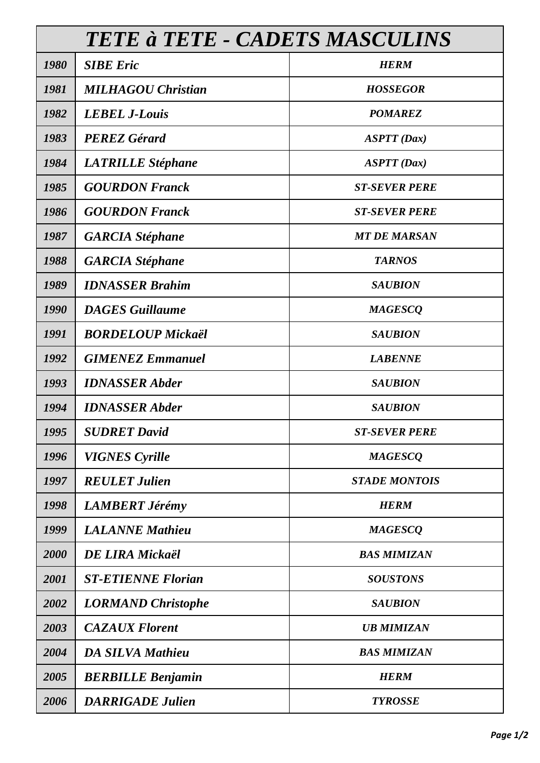| TETE à TETE - CADETS MASCULINS |                           |                      |
|--------------------------------|---------------------------|----------------------|
| 1980                           | <b>SIBE Eric</b>          | <b>HERM</b>          |
| 1981                           | <b>MILHAGOU Christian</b> | <b>HOSSEGOR</b>      |
| 1982                           | <b>LEBEL J-Louis</b>      | <b>POMAREZ</b>       |
| 1983                           | <b>PEREZ Gérard</b>       | ASTT(Dax)            |
| 1984                           | <b>LATRILLE Stéphane</b>  | ASTT(Dax)            |
| 1985                           | <b>GOURDON Franck</b>     | <b>ST-SEVER PERE</b> |
| 1986                           | <b>GOURDON Franck</b>     | <b>ST-SEVER PERE</b> |
| 1987                           | <b>GARCIA</b> Stéphane    | <b>MT DE MARSAN</b>  |
| 1988                           | <b>GARCIA</b> Stéphane    | <b>TARNOS</b>        |
| 1989                           | <b>IDNASSER Brahim</b>    | <b>SAUBION</b>       |
| 1990                           | <b>DAGES</b> Guillaume    | <b>MAGESCQ</b>       |
| 1991                           | <b>BORDELOUP Mickaël</b>  | <b>SAUBION</b>       |
| 1992                           | <b>GIMENEZ Emmanuel</b>   | <b>LABENNE</b>       |
| 1993                           | <b>IDNASSER Abder</b>     | <b>SAUBION</b>       |
| 1994                           | <b>IDNASSER Abder</b>     | <b>SAUBION</b>       |
| 1995                           | <b>SUDRET David</b>       | <b>ST-SEVER PERE</b> |
| 1996                           | <b>VIGNES Cyrille</b>     | <b>MAGESCQ</b>       |
| 1997                           | <b>REULET Julien</b>      | <b>STADE MONTOIS</b> |
| 1998                           | <b>LAMBERT Jérémy</b>     | <b>HERM</b>          |
| 1999                           | <b>LALANNE Mathieu</b>    | <b>MAGESCQ</b>       |
| 2000                           | <b>DE LIRA Mickaël</b>    | <b>BAS MIMIZAN</b>   |
| 2001                           | <b>ST-ETIENNE Florian</b> | <b>SOUSTONS</b>      |
| 2002                           | <b>LORMAND</b> Christophe | <b>SAUBION</b>       |
| 2003                           | <b>CAZAUX Florent</b>     | <b>UB MIMIZAN</b>    |
| 2004                           | <b>DA SILVA Mathieu</b>   | <b>BAS MIMIZAN</b>   |
| 2005                           | <b>BERBILLE Benjamin</b>  | <b>HERM</b>          |
| 2006                           | <b>DARRIGADE Julien</b>   | <b>TYROSSE</b>       |